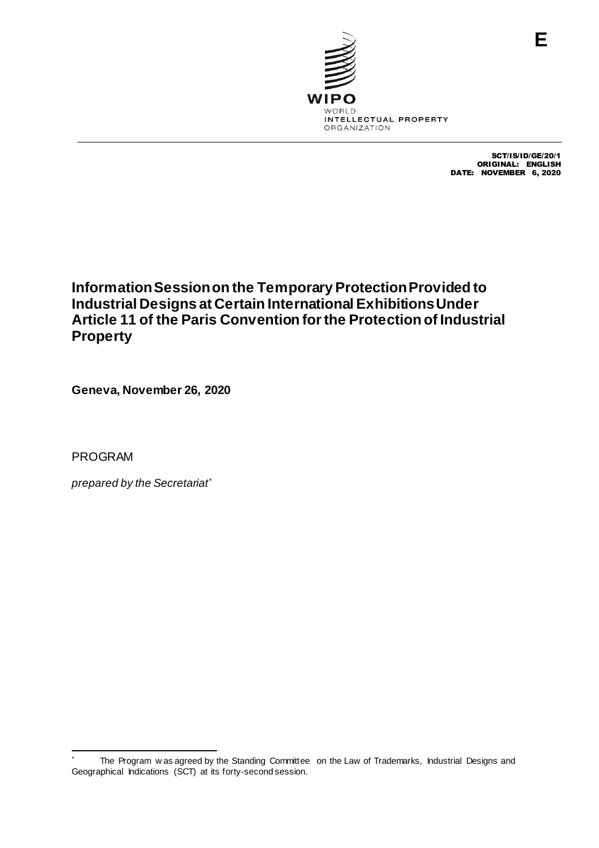

SCT/IS/ID/GE/20/1 ORIGINAL: ENGLISH DATE: NOVEMBER 6, 2020

## **Information Sessionon the Temporary Protection Provided to Industrial Designs at Certain International Exhibitions Under Article 11 of the Paris Convention for the Protection of Industrial Property**

**Geneva, November 26, 2020**

PROGRAM

-

*prepared by the Secretariat\**

The Program w as agreed by the Standing Committee on the Law of Trademarks, Industrial Designs and Geographical Indications (SCT) at its forty-second session.